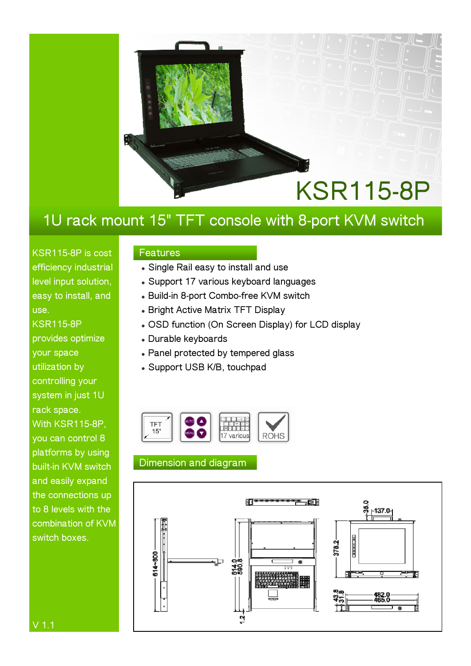

### **1U rack mount 15" TFT console with 8-port KVM switch**

**KSR115-8P is cost efficiency industrial level input solution, easy to install, and use. KSR115-8P** 

**provides optimize your space utilization by controlling your system in just 1U rack space. With KSR115-8P, you can control 8 platforms by using built-in KVM switch and easily expand the connections up to 8 levels with the combination of KVM switch boxes.** 

### **Features**

- $\bullet$  Single Rail easy to install and use
- **Support 17 various keyboard languages**
- <sup>z</sup> **Build-in 8-port Combo-free KVM switch**
- **Bright Active Matrix TFT Display**
- **. OSD function (On Screen Display) for LCD display**
- <sup>z</sup> **Durable keyboards**
- **Panel protected by tempered glass**
- <sup>z</sup> **Support USB K/B, touchpad**



### **Dimension and diagram**